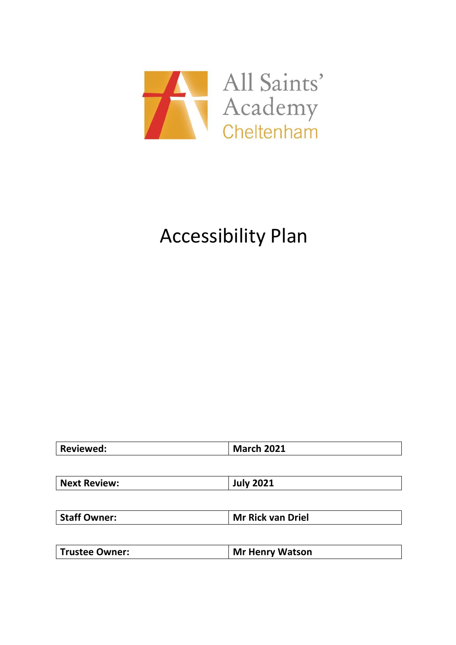

# Accessibility Plan

| <b>Reviewed:</b> | <b>March 2021</b> |
|------------------|-------------------|
|                  |                   |

| <b>Staff Owner:</b> | Mr Rick van Driel |
|---------------------|-------------------|
|                     |                   |

| <b>Trustee Owner:</b> | Mr Henry Watson |
|-----------------------|-----------------|
|-----------------------|-----------------|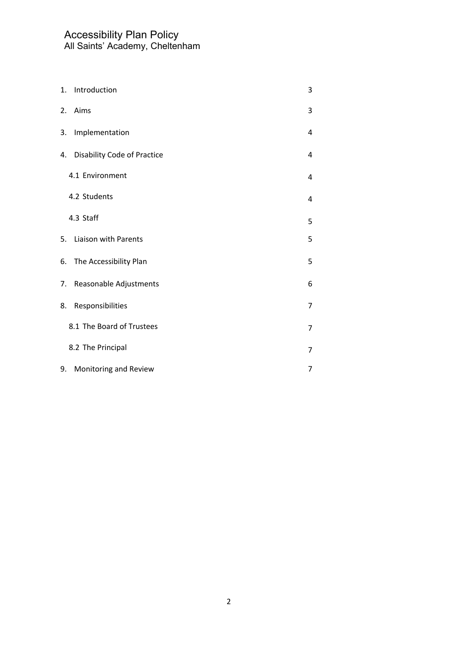| 1. | Introduction                       | 3              |
|----|------------------------------------|----------------|
| 2. | Aims                               | 3              |
| 3. | Implementation                     | 4              |
| 4. | <b>Disability Code of Practice</b> | 4              |
|    | 4.1 Environment                    | 4              |
|    | 4.2 Students                       | 4              |
|    | 4.3 Staff                          | 5              |
| 5. | Liaison with Parents               | 5              |
|    | 6. The Accessibility Plan          | 5              |
| 7. | Reasonable Adjustments             | 6              |
| 8. | Responsibilities                   | $\overline{7}$ |
|    | 8.1 The Board of Trustees          | $\overline{7}$ |
|    | 8.2 The Principal                  | $\overline{7}$ |
| 9. | Monitoring and Review              | $\overline{7}$ |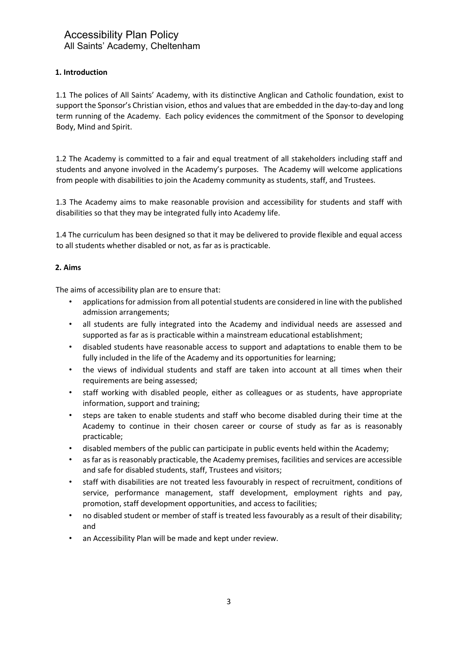# **1. Introduction**

1.1 The polices of All Saints' Academy, with its distinctive Anglican and Catholic foundation, exist to support the Sponsor's Christian vision, ethos and values that are embedded in the day-to-day and long term running of the Academy. Each policy evidences the commitment of the Sponsor to developing Body, Mind and Spirit.

1.2 The Academy is committed to a fair and equal treatment of all stakeholders including staff and students and anyone involved in the Academy's purposes. The Academy will welcome applications from people with disabilities to join the Academy community as students, staff, and Trustees.

1.3 The Academy aims to make reasonable provision and accessibility for students and staff with disabilities so that they may be integrated fully into Academy life.

1.4 The curriculum has been designed so that it may be delivered to provide flexible and equal access to all students whether disabled or not, as far as is practicable.

### **2. Aims**

The aims of accessibility plan are to ensure that:

- applications for admission from all potential students are considered in line with the published admission arrangements;
- all students are fully integrated into the Academy and individual needs are assessed and supported as far as is practicable within a mainstream educational establishment;
- disabled students have reasonable access to support and adaptations to enable them to be fully included in the life of the Academy and its opportunities for learning;
- the views of individual students and staff are taken into account at all times when their requirements are being assessed;
- staff working with disabled people, either as colleagues or as students, have appropriate information, support and training;
- steps are taken to enable students and staff who become disabled during their time at the Academy to continue in their chosen career or course of study as far as is reasonably practicable;
- disabled members of the public can participate in public events held within the Academy;
- as far as is reasonably practicable, the Academy premises, facilities and services are accessible and safe for disabled students, staff, Trustees and visitors;
- staff with disabilities are not treated less favourably in respect of recruitment, conditions of service, performance management, staff development, employment rights and pay, promotion, staff development opportunities, and access to facilities;
- no disabled student or member of staff is treated less favourably as a result of their disability; and
- an Accessibility Plan will be made and kept under review.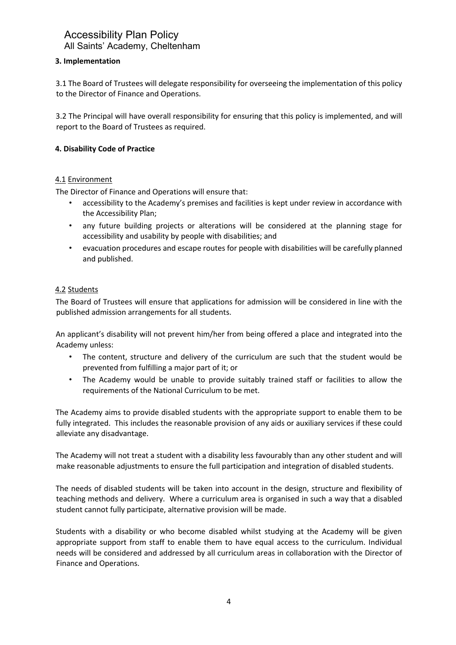# **3. Implementation**

3.1 The Board of Trustees will delegate responsibility for overseeing the implementation of this policy to the Director of Finance and Operations.

3.2 The Principal will have overall responsibility for ensuring that this policy is implemented, and will report to the Board of Trustees as required.

## **4. Disability Code of Practice**

## 4.1 Environment

The Director of Finance and Operations will ensure that:

- accessibility to the Academy's premises and facilities is kept under review in accordance with the Accessibility Plan;
- any future building projects or alterations will be considered at the planning stage for accessibility and usability by people with disabilities; and
- evacuation procedures and escape routes for people with disabilities will be carefully planned and published.

### 4.2 Students

The Board of Trustees will ensure that applications for admission will be considered in line with the published admission arrangements for all students.

An applicant's disability will not prevent him/her from being offered a place and integrated into the Academy unless:

- The content, structure and delivery of the curriculum are such that the student would be prevented from fulfilling a major part of it; or
- The Academy would be unable to provide suitably trained staff or facilities to allow the requirements of the National Curriculum to be met.

The Academy aims to provide disabled students with the appropriate support to enable them to be fully integrated. This includes the reasonable provision of any aids or auxiliary services if these could alleviate any disadvantage.

The Academy will not treat a student with a disability less favourably than any other student and will make reasonable adjustments to ensure the full participation and integration of disabled students.

The needs of disabled students will be taken into account in the design, structure and flexibility of teaching methods and delivery. Where a curriculum area is organised in such a way that a disabled student cannot fully participate, alternative provision will be made.

Students with a disability or who become disabled whilst studying at the Academy will be given appropriate support from staff to enable them to have equal access to the curriculum. Individual needs will be considered and addressed by all curriculum areas in collaboration with the Director of Finance and Operations.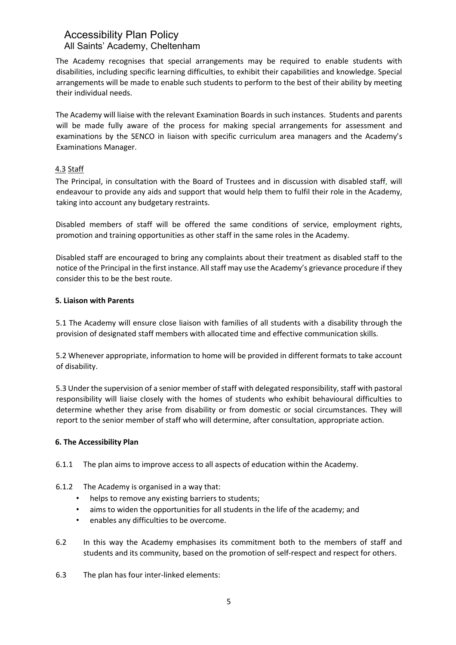The Academy recognises that special arrangements may be required to enable students with disabilities, including specific learning difficulties, to exhibit their capabilities and knowledge. Special arrangements will be made to enable such students to perform to the best of their ability by meeting their individual needs.

The Academy will liaise with the relevant Examination Boards in such instances. Students and parents will be made fully aware of the process for making special arrangements for assessment and examinations by the SENCO in liaison with specific curriculum area managers and the Academy's Examinations Manager.

# 4.3 Staff

The Principal, in consultation with the Board of Trustees and in discussion with disabled staff, will endeavour to provide any aids and support that would help them to fulfil their role in the Academy, taking into account any budgetary restraints.

Disabled members of staff will be offered the same conditions of service, employment rights, promotion and training opportunities as other staff in the same roles in the Academy.

Disabled staff are encouraged to bring any complaints about their treatment as disabled staff to the notice of the Principal in the first instance. All staff may use the Academy's grievance procedure if they consider this to be the best route.

### **5. Liaison with Parents**

5.1 The Academy will ensure close liaison with families of all students with a disability through the provision of designated staff members with allocated time and effective communication skills.

5.2 Whenever appropriate, information to home will be provided in different formats to take account of disability.

5.3 Under the supervision of a senior member of staff with delegated responsibility, staff with pastoral responsibility will liaise closely with the homes of students who exhibit behavioural difficulties to determine whether they arise from disability or from domestic or social circumstances. They will report to the senior member of staff who will determine, after consultation, appropriate action.

## **6. The Accessibility Plan**

- 6.1.1 The plan aims to improve access to all aspects of education within the Academy.
- 6.1.2 The Academy is organised in a way that:
	- helps to remove any existing barriers to students;
	- aims to widen the opportunities for all students in the life of the academy; and
	- enables any difficulties to be overcome.
- 6.2 In this way the Academy emphasises its commitment both to the members of staff and students and its community, based on the promotion of self-respect and respect for others.
- 6.3 The plan has four inter-linked elements: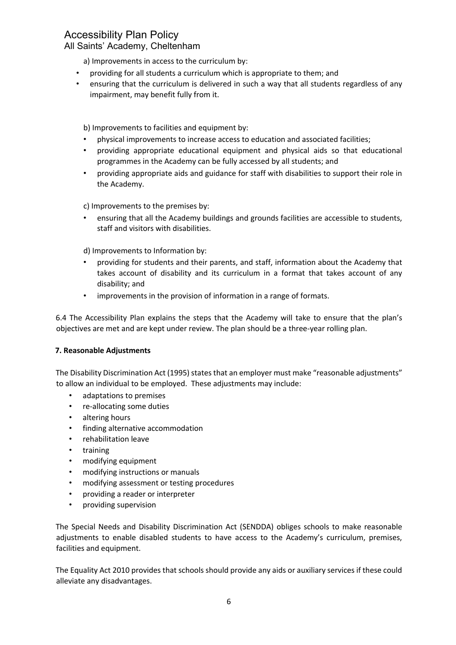# Accessibility Plan Policy

# All Saints' Academy, Cheltenham

a) Improvements in access to the curriculum by:

- providing for all students a curriculum which is appropriate to them; and
- ensuring that the curriculum is delivered in such a way that all students regardless of any impairment, may benefit fully from it.

b) Improvements to facilities and equipment by:

- physical improvements to increase access to education and associated facilities;
- providing appropriate educational equipment and physical aids so that educational programmes in the Academy can be fully accessed by all students; and
- providing appropriate aids and guidance for staff with disabilities to support their role in the Academy.

c) Improvements to the premises by:

• ensuring that all the Academy buildings and grounds facilities are accessible to students, staff and visitors with disabilities.

d) Improvements to Information by:

- providing for students and their parents, and staff, information about the Academy that takes account of disability and its curriculum in a format that takes account of any disability; and
- improvements in the provision of information in a range of formats.

6.4 The Accessibility Plan explains the steps that the Academy will take to ensure that the plan's objectives are met and are kept under review. The plan should be a three-year rolling plan.

## **7. Reasonable Adjustments**

The Disability Discrimination Act (1995) states that an employer must make "reasonable adjustments" to allow an individual to be employed. These adjustments may include:

- adaptations to premises
- re-allocating some duties
- altering hours
- finding alternative accommodation
- rehabilitation leave
- training
- modifying equipment
- modifying instructions or manuals
- modifying assessment or testing procedures
- providing a reader or interpreter
- providing supervision

The Special Needs and Disability Discrimination Act (SENDDA) obliges schools to make reasonable adjustments to enable disabled students to have access to the Academy's curriculum, premises, facilities and equipment.

The Equality Act 2010 provides that schools should provide any aids or auxiliary services if these could alleviate any disadvantages.